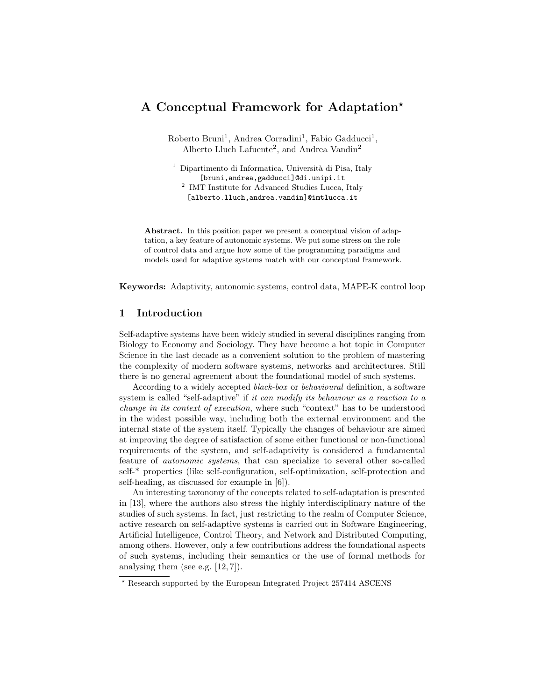# A Conceptual Framework for Adaptation<sup>\*</sup>

Roberto Bruni<sup>1</sup>, Andrea Corradini<sup>1</sup>, Fabio Gadducci<sup>1</sup>, Alberto Lluch Lafuente<sup>2</sup>, and Andrea Vandin<sup>2</sup>

<sup>1</sup> Dipartimento di Informatica, Università di Pisa, Italy [bruni,andrea,gadducci]@di.unipi.it <sup>2</sup> IMT Institute for Advanced Studies Lucca, Italy [alberto.lluch,andrea.vandin]@imtlucca.it

Abstract. In this position paper we present a conceptual vision of adaptation, a key feature of autonomic systems. We put some stress on the role of control data and argue how some of the programming paradigms and models used for adaptive systems match with our conceptual framework.

Keywords: Adaptivity, autonomic systems, control data, MAPE-K control loop

# 1 Introduction

Self-adaptive systems have been widely studied in several disciplines ranging from Biology to Economy and Sociology. They have become a hot topic in Computer Science in the last decade as a convenient solution to the problem of mastering the complexity of modern software systems, networks and architectures. Still there is no general agreement about the foundational model of such systems.

According to a widely accepted black-box or behavioural definition, a software system is called "self-adaptive" if it can modify its behaviour as a reaction to a change in its context of execution, where such "context" has to be understood in the widest possible way, including both the external environment and the internal state of the system itself. Typically the changes of behaviour are aimed at improving the degree of satisfaction of some either functional or non-functional requirements of the system, and self-adaptivity is considered a fundamental feature of autonomic systems, that can specialize to several other so-called self-\* properties (like self-configuration, self-optimization, self-protection and self-healing, as discussed for example in [6]).

An interesting taxonomy of the concepts related to self-adaptation is presented in [13], where the authors also stress the highly interdisciplinary nature of the studies of such systems. In fact, just restricting to the realm of Computer Science, active research on self-adaptive systems is carried out in Software Engineering, Artificial Intelligence, Control Theory, and Network and Distributed Computing, among others. However, only a few contributions address the foundational aspects of such systems, including their semantics or the use of formal methods for analysing them (see e.g. [12, 7]).

<sup>?</sup> Research supported by the European Integrated Project 257414 ASCENS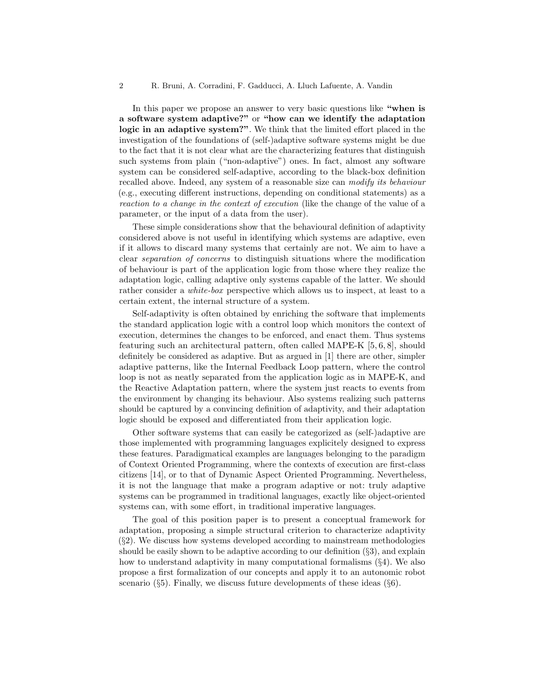In this paper we propose an answer to very basic questions like "when is a software system adaptive?" or "how can we identify the adaptation logic in an adaptive system?". We think that the limited effort placed in the investigation of the foundations of (self-)adaptive software systems might be due to the fact that it is not clear what are the characterizing features that distinguish such systems from plain ("non-adaptive") ones. In fact, almost any software system can be considered self-adaptive, according to the black-box definition recalled above. Indeed, any system of a reasonable size can modify its behaviour (e.g., executing different instructions, depending on conditional statements) as a reaction to a change in the context of execution (like the change of the value of a parameter, or the input of a data from the user).

These simple considerations show that the behavioural definition of adaptivity considered above is not useful in identifying which systems are adaptive, even if it allows to discard many systems that certainly are not. We aim to have a clear separation of concerns to distinguish situations where the modification of behaviour is part of the application logic from those where they realize the adaptation logic, calling adaptive only systems capable of the latter. We should rather consider a white-box perspective which allows us to inspect, at least to a certain extent, the internal structure of a system.

Self-adaptivity is often obtained by enriching the software that implements the standard application logic with a control loop which monitors the context of execution, determines the changes to be enforced, and enact them. Thus systems featuring such an architectural pattern, often called MAPE-K [5, 6, 8], should definitely be considered as adaptive. But as argued in [1] there are other, simpler adaptive patterns, like the Internal Feedback Loop pattern, where the control loop is not as neatly separated from the application logic as in MAPE-K, and the Reactive Adaptation pattern, where the system just reacts to events from the environment by changing its behaviour. Also systems realizing such patterns should be captured by a convincing definition of adaptivity, and their adaptation logic should be exposed and differentiated from their application logic.

Other software systems that can easily be categorized as (self-)adaptive are those implemented with programming languages explicitely designed to express these features. Paradigmatical examples are languages belonging to the paradigm of Context Oriented Programming, where the contexts of execution are first-class citizens [14], or to that of Dynamic Aspect Oriented Programming. Nevertheless, it is not the language that make a program adaptive or not: truly adaptive systems can be programmed in traditional languages, exactly like object-oriented systems can, with some effort, in traditional imperative languages.

The goal of this position paper is to present a conceptual framework for adaptation, proposing a simple structural criterion to characterize adaptivity  $(\S_2)$ . We discuss how systems developed according to mainstream methodologies should be easily shown to be adaptive according to our definition  $(\S3)$ , and explain how to understand adaptivity in many computational formalisms (§4). We also propose a first formalization of our concepts and apply it to an autonomic robot scenario  $(\S 5)$ . Finally, we discuss future developments of these ideas  $(\S 6)$ .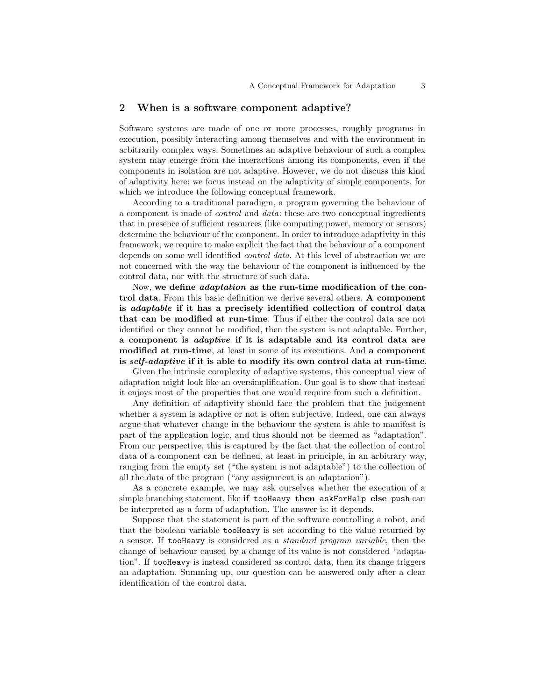#### 2 When is a software component adaptive?

Software systems are made of one or more processes, roughly programs in execution, possibly interacting among themselves and with the environment in arbitrarily complex ways. Sometimes an adaptive behaviour of such a complex system may emerge from the interactions among its components, even if the components in isolation are not adaptive. However, we do not discuss this kind of adaptivity here: we focus instead on the adaptivity of simple components, for which we introduce the following conceptual framework.

According to a traditional paradigm, a program governing the behaviour of a component is made of control and data: these are two conceptual ingredients that in presence of sufficient resources (like computing power, memory or sensors) determine the behaviour of the component. In order to introduce adaptivity in this framework, we require to make explicit the fact that the behaviour of a component depends on some well identified control data. At this level of abstraction we are not concerned with the way the behaviour of the component is influenced by the control data, nor with the structure of such data.

Now, we define adaptation as the run-time modification of the control data. From this basic definition we derive several others. A component is adaptable if it has a precisely identified collection of control data that can be modified at run-time. Thus if either the control data are not identified or they cannot be modified, then the system is not adaptable. Further, a component is adaptive if it is adaptable and its control data are modified at run-time, at least in some of its executions. And a component is self-adaptive if it is able to modify its own control data at run-time.

Given the intrinsic complexity of adaptive systems, this conceptual view of adaptation might look like an oversimplification. Our goal is to show that instead it enjoys most of the properties that one would require from such a definition.

Any definition of adaptivity should face the problem that the judgement whether a system is adaptive or not is often subjective. Indeed, one can always argue that whatever change in the behaviour the system is able to manifest is part of the application logic, and thus should not be deemed as "adaptation". From our perspective, this is captured by the fact that the collection of control data of a component can be defined, at least in principle, in an arbitrary way, ranging from the empty set ("the system is not adaptable") to the collection of all the data of the program ("any assignment is an adaptation").

As a concrete example, we may ask ourselves whether the execution of a simple branching statement, like if tooHeavy then askForHelp else push can be interpreted as a form of adaptation. The answer is: it depends.

Suppose that the statement is part of the software controlling a robot, and that the boolean variable tooHeavy is set according to the value returned by a sensor. If tooHeavy is considered as a standard program variable, then the change of behaviour caused by a change of its value is not considered "adaptation". If tooHeavy is instead considered as control data, then its change triggers an adaptation. Summing up, our question can be answered only after a clear identification of the control data.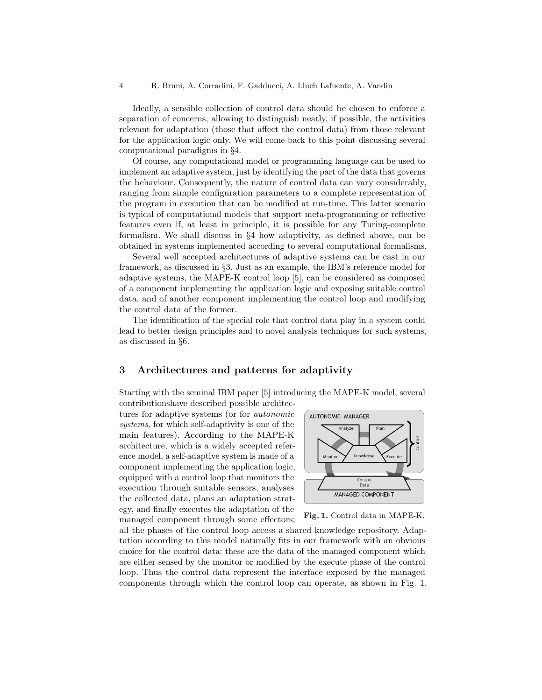Ideally, a sensible collection of control data should be chosen to enforce a separation of concerns, allowing to distinguish neatly, if possible, the activities relevant for adaptation (those that affect the control data) from those relevant for the application logic only. We will come back to this point discussing several computational paradigms in §4.

Of course, any computational model or programming language can be used to implement an adaptive system, just by identifying the part of the data that governs the behaviour. Consequently, the nature of control data can vary considerably, ranging from simple configuration parameters to a complete representation of the program in execution that can be modified at run-time. This latter scenario is typical of computational models that support meta-programming or reflective features even if, at least in principle, it is possible for any Turing-complete formalism. We shall discuss in §4 how adaptivity, as defined above, can be obtained in systems implemented according to several computational formalisms.

Several well accepted architectures of adaptive systems can be cast in our framework, as discussed in §3. Just as an example, the IBM's reference model for adaptive systems, the MAPE-K control loop [5], can be considered as composed of a component implementing the application logic and exposing suitable control data, and of another component implementing the control loop and modifying the control data of the former.

The identification of the special role that control data play in a system could lead to better design principles and to novel analysis techniques for such systems, as discussed in §6.

# 3 Architectures and patterns for adaptivity

Starting with the seminal IBM paper [5] introducing the MAPE-K model, several contributionshave described possible architec-

tures for adaptive systems (or for autonomic systems, for which self-adaptivity is one of the main features). According to the MAPE-K architecture, which is a widely accepted reference model, a self-adaptive system is made of a component implementing the application logic, equipped with a control loop that monitors the execution through suitable sensors, analyses the collected data, plans an adaptation strategy, and finally executes the adaptation of the managed component through some effectors;



Fig. 1. Control data in MAPE-K.

all the phases of the control loop access a shared knowledge repository. Adaptation according to this model naturally fits in our framework with an obvious choice for the control data: these are the data of the managed component which are either sensed by the monitor or modified by the execute phase of the control loop. Thus the control data represent the interface exposed by the managed components through which the control loop can operate, as shown in Fig. 1.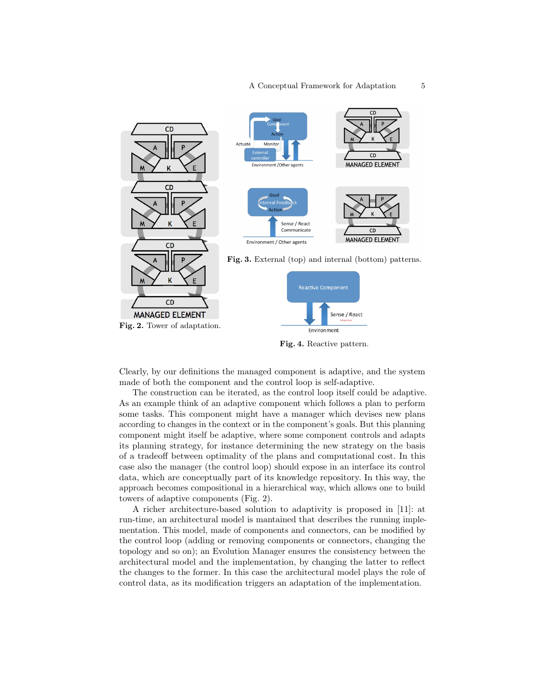

Clearly, by our definitions the managed component is adaptive, and the system made of both the component and the control loop is self-adaptive.

The construction can be iterated, as the control loop itself could be adaptive. As an example think of an adaptive component which follows a plan to perform some tasks. This component might have a manager which devises new plans according to changes in the context or in the component's goals. But this planning component might itself be adaptive, where some component controls and adapts its planning strategy, for instance determining the new strategy on the basis of a tradeoff between optimality of the plans and computational cost. In this case also the manager (the control loop) should expose in an interface its control data, which are conceptually part of its knowledge repository. In this way, the approach becomes compositional in a hierarchical way, which allows one to build towers of adaptive components (Fig. 2).

A richer architecture-based solution to adaptivity is proposed in [11]: at run-time, an architectural model is mantained that describes the running implementation. This model, made of components and connectors, can be modified by the control loop (adding or removing components or connectors, changing the topology and so on); an Evolution Manager ensures the consistency between the architectural model and the implementation, by changing the latter to reflect the changes to the former. In this case the architectural model plays the role of control data, as its modification triggers an adaptation of the implementation.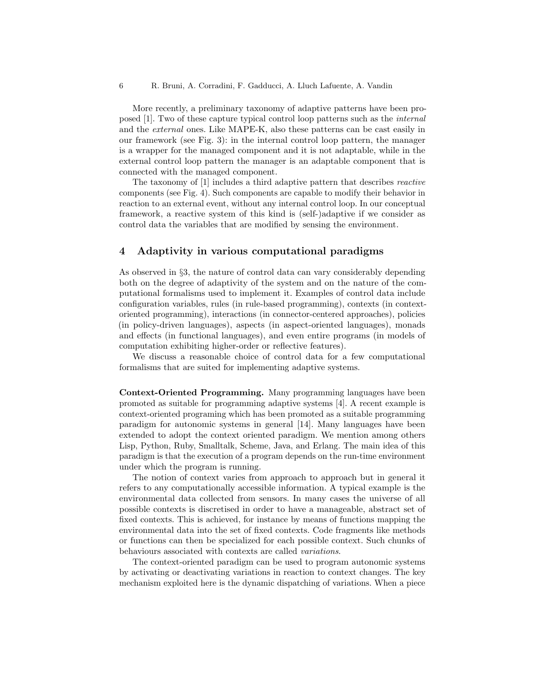More recently, a preliminary taxonomy of adaptive patterns have been proposed [1]. Two of these capture typical control loop patterns such as the internal and the external ones. Like MAPE-K, also these patterns can be cast easily in our framework (see Fig. 3): in the internal control loop pattern, the manager is a wrapper for the managed component and it is not adaptable, while in the external control loop pattern the manager is an adaptable component that is connected with the managed component.

The taxonomy of [1] includes a third adaptive pattern that describes reactive components (see Fig. 4). Such components are capable to modify their behavior in reaction to an external event, without any internal control loop. In our conceptual framework, a reactive system of this kind is (self-)adaptive if we consider as control data the variables that are modified by sensing the environment.

#### 4 Adaptivity in various computational paradigms

As observed in §3, the nature of control data can vary considerably depending both on the degree of adaptivity of the system and on the nature of the computational formalisms used to implement it. Examples of control data include configuration variables, rules (in rule-based programming), contexts (in contextoriented programming), interactions (in connector-centered approaches), policies (in policy-driven languages), aspects (in aspect-oriented languages), monads and effects (in functional languages), and even entire programs (in models of computation exhibiting higher-order or reflective features).

We discuss a reasonable choice of control data for a few computational formalisms that are suited for implementing adaptive systems.

Context-Oriented Programming. Many programming languages have been promoted as suitable for programming adaptive systems [4]. A recent example is context-oriented programing which has been promoted as a suitable programming paradigm for autonomic systems in general [14]. Many languages have been extended to adopt the context oriented paradigm. We mention among others Lisp, Python, Ruby, Smalltalk, Scheme, Java, and Erlang. The main idea of this paradigm is that the execution of a program depends on the run-time environment under which the program is running.

The notion of context varies from approach to approach but in general it refers to any computationally accessible information. A typical example is the environmental data collected from sensors. In many cases the universe of all possible contexts is discretised in order to have a manageable, abstract set of fixed contexts. This is achieved, for instance by means of functions mapping the environmental data into the set of fixed contexts. Code fragments like methods or functions can then be specialized for each possible context. Such chunks of behaviours associated with contexts are called variations.

The context-oriented paradigm can be used to program autonomic systems by activating or deactivating variations in reaction to context changes. The key mechanism exploited here is the dynamic dispatching of variations. When a piece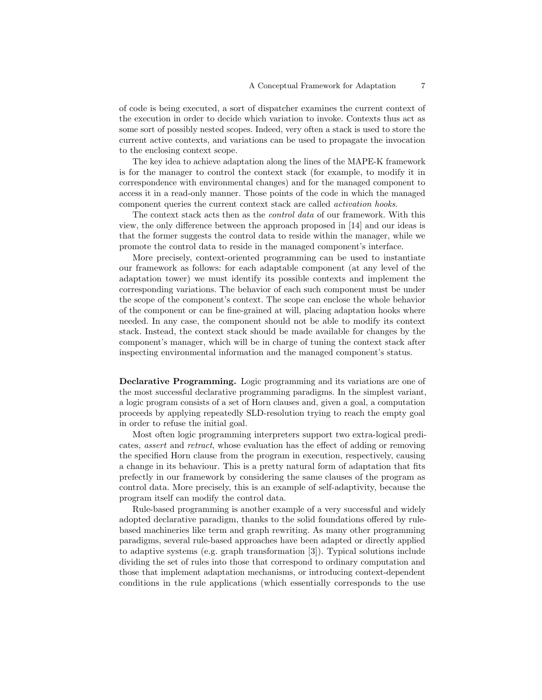of code is being executed, a sort of dispatcher examines the current context of the execution in order to decide which variation to invoke. Contexts thus act as some sort of possibly nested scopes. Indeed, very often a stack is used to store the current active contexts, and variations can be used to propagate the invocation to the enclosing context scope.

The key idea to achieve adaptation along the lines of the MAPE-K framework is for the manager to control the context stack (for example, to modify it in correspondence with environmental changes) and for the managed component to access it in a read-only manner. Those points of the code in which the managed component queries the current context stack are called activation hooks.

The context stack acts then as the *control data* of our framework. With this view, the only difference between the approach proposed in [14] and our ideas is that the former suggests the control data to reside within the manager, while we promote the control data to reside in the managed component's interface.

More precisely, context-oriented programming can be used to instantiate our framework as follows: for each adaptable component (at any level of the adaptation tower) we must identify its possible contexts and implement the corresponding variations. The behavior of each such component must be under the scope of the component's context. The scope can enclose the whole behavior of the component or can be fine-grained at will, placing adaptation hooks where needed. In any case, the component should not be able to modify its context stack. Instead, the context stack should be made available for changes by the component's manager, which will be in charge of tuning the context stack after inspecting environmental information and the managed component's status.

Declarative Programming. Logic programming and its variations are one of the most successful declarative programming paradigms. In the simplest variant, a logic program consists of a set of Horn clauses and, given a goal, a computation proceeds by applying repeatedly SLD-resolution trying to reach the empty goal in order to refuse the initial goal.

Most often logic programming interpreters support two extra-logical predicates, assert and retract, whose evaluation has the effect of adding or removing the specified Horn clause from the program in execution, respectively, causing a change in its behaviour. This is a pretty natural form of adaptation that fits prefectly in our framework by considering the same clauses of the program as control data. More precisely, this is an example of self-adaptivity, because the program itself can modify the control data.

Rule-based programming is another example of a very successful and widely adopted declarative paradigm, thanks to the solid foundations offered by rulebased machineries like term and graph rewriting. As many other programming paradigms, several rule-based approaches have been adapted or directly applied to adaptive systems (e.g. graph transformation [3]). Typical solutions include dividing the set of rules into those that correspond to ordinary computation and those that implement adaptation mechanisms, or introducing context-dependent conditions in the rule applications (which essentially corresponds to the use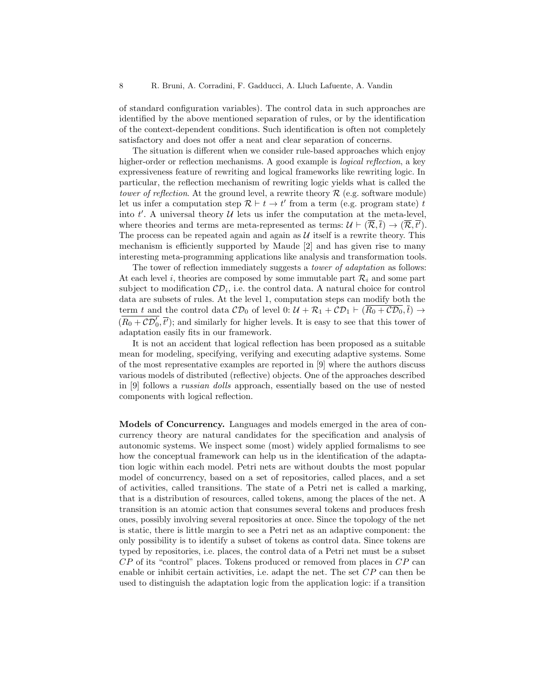of standard configuration variables). The control data in such approaches are identified by the above mentioned separation of rules, or by the identification of the context-dependent conditions. Such identification is often not completely satisfactory and does not offer a neat and clear separation of concerns.

The situation is different when we consider rule-based approaches which enjoy higher-order or reflection mechanisms. A good example is *logical reflection*, a key expressiveness feature of rewriting and logical frameworks like rewriting logic. In particular, the reflection mechanism of rewriting logic yields what is called the tower of reflection. At the ground level, a rewrite theory  $\mathcal{R}$  (e.g. software module) let us infer a computation step  $\mathcal{R} \vdash t \to t'$  from a term (e.g. program state) t into  $t'$ . A universal theory  $\mathcal U$  lets us infer the computation at the meta-level, where theories and terms are meta-represented as terms:  $\mathcal{U} \vdash (\overline{\mathcal{R}}, \overline{t}) \rightarrow (\overline{\mathcal{R}}, \overline{t'}).$ The process can be repeated again and again as  $\mathcal U$  itself is a rewrite theory. This mechanism is efficiently supported by Maude [2] and has given rise to many interesting meta-programming applications like analysis and transformation tools.

The tower of reflection immediately suggests a tower of adaptation as follows: At each level i, theories are composed by some immutable part  $\mathcal{R}_i$  and some part subject to modification  $CD_i$ , i.e. the control data. A natural choice for control data are subsets of rules. At the level 1, computation steps can modify both the term t and the control data  $CD_0$  of level 0:  $\mathcal{U} + \mathcal{R}_1 + \mathcal{CD}_1 \vdash (\overline{R_0 + \mathcal{CD}_0}, \overline{t}) \rightarrow$  $(\overline{R_0 + C\mathcal{D}_0', \overline{t'}})$ ; and similarly for higher levels. It is easy to see that this tower of adaptation easily fits in our framework.

It is not an accident that logical reflection has been proposed as a suitable mean for modeling, specifying, verifying and executing adaptive systems. Some of the most representative examples are reported in [9] where the authors discuss various models of distributed (reflective) objects. One of the approaches described in [9] follows a russian dolls approach, essentially based on the use of nested components with logical reflection.

Models of Concurrency. Languages and models emerged in the area of concurrency theory are natural candidates for the specification and analysis of autonomic systems. We inspect some (most) widely applied formalisms to see how the conceptual framework can help us in the identification of the adaptation logic within each model. Petri nets are without doubts the most popular model of concurrency, based on a set of repositories, called places, and a set of activities, called transitions. The state of a Petri net is called a marking, that is a distribution of resources, called tokens, among the places of the net. A transition is an atomic action that consumes several tokens and produces fresh ones, possibly involving several repositories at once. Since the topology of the net is static, there is little margin to see a Petri net as an adaptive component: the only possibility is to identify a subset of tokens as control data. Since tokens are typed by repositories, i.e. places, the control data of a Petri net must be a subset  $CP$  of its "control" places. Tokens produced or removed from places in  $CP$  can enable or inhibit certain activities, i.e. adapt the net. The set  $CP$  can then be used to distinguish the adaptation logic from the application logic: if a transition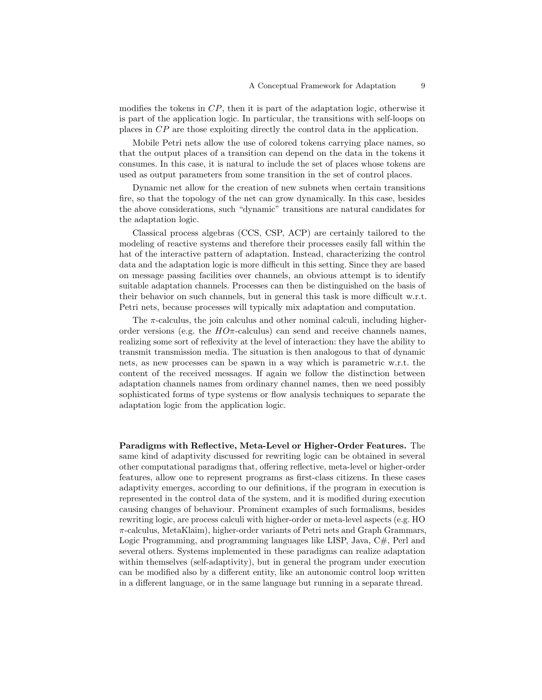modifies the tokens in  $\mathbb{CP}$ , then it is part of the adaptation logic, otherwise it is part of the application logic. In particular, the transitions with self-loops on places in CP are those exploiting directly the control data in the application.

Mobile Petri nets allow the use of colored tokens carrying place names, so that the output places of a transition can depend on the data in the tokens it consumes. In this case, it is natural to include the set of places whose tokens are used as output parameters from some transition in the set of control places.

Dynamic net allow for the creation of new subnets when certain transitions fire, so that the topology of the net can grow dynamically. In this case, besides the above considerations, such "dynamic" transitions are natural candidates for the adaptation logic.

Classical process algebras (CCS, CSP, ACP) are certainly tailored to the modeling of reactive systems and therefore their processes easily fall within the hat of the interactive pattern of adaptation. Instead, characterizing the control data and the adaptation logic is more difficult in this setting. Since they are based on message passing facilities over channels, an obvious attempt is to identify suitable adaptation channels. Processes can then be distinguished on the basis of their behavior on such channels, but in general this task is more difficult w.r.t. Petri nets, because processes will typically mix adaptation and computation.

The  $\pi$ -calculus, the join calculus and other nominal calculi, including higherorder versions (e.g. the  $HO\pi$ -calculus) can send and receive channels names, realizing some sort of reflexivity at the level of interaction: they have the ability to transmit transmission media. The situation is then analogous to that of dynamic nets, as new processes can be spawn in a way which is parametric w.r.t. the content of the received messages. If again we follow the distinction between adaptation channels names from ordinary channel names, then we need possibly sophisticated forms of type systems or flow analysis techniques to separate the adaptation logic from the application logic.

Paradigms with Reflective, Meta-Level or Higher-Order Features. The same kind of adaptivity discussed for rewriting logic can be obtained in several other computational paradigms that, offering reflective, meta-level or higher-order features, allow one to represent programs as first-class citizens. In these cases adaptivity emerges, according to our definitions, if the program in execution is represented in the control data of the system, and it is modified during execution causing changes of behaviour. Prominent examples of such formalisms, besides rewriting logic, are process calculi with higher-order or meta-level aspects (e.g. HO π-calculus, MetaKlaim), higher-order variants of Petri nets and Graph Grammars, Logic Programming, and programming languages like LISP, Java, C#, Perl and several others. Systems implemented in these paradigms can realize adaptation within themselves (self-adaptivity), but in general the program under execution can be modified also by a different entity, like an autonomic control loop written in a different language, or in the same language but running in a separate thread.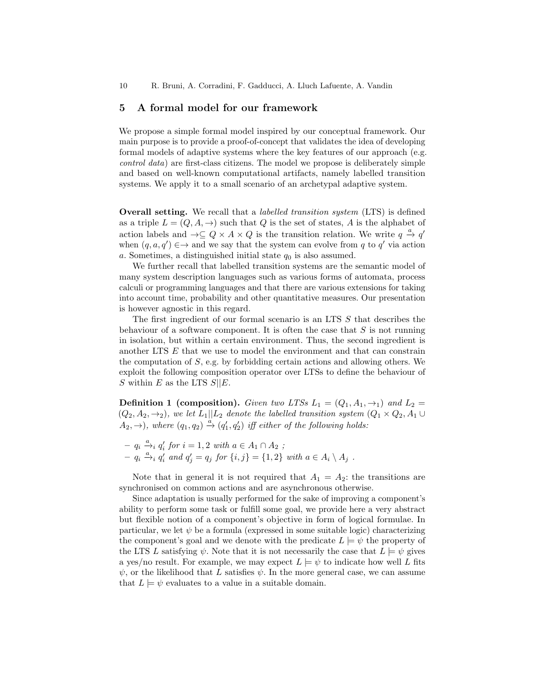### 5 A formal model for our framework

We propose a simple formal model inspired by our conceptual framework. Our main purpose is to provide a proof-of-concept that validates the idea of developing formal models of adaptive systems where the key features of our approach (e.g. control data) are first-class citizens. The model we propose is deliberately simple and based on well-known computational artifacts, namely labelled transition systems. We apply it to a small scenario of an archetypal adaptive system.

Overall setting. We recall that a labelled transition system (LTS) is defined as a triple  $L = (Q, A, \rightarrow)$  such that Q is the set of states, A is the alphabet of action labels and  $\rightarrow \subseteq Q \times A \times Q$  is the transition relation. We write  $q \stackrel{a}{\rightarrow} q'$ when  $(q, a, q') \in \rightarrow$  and we say that the system can evolve from q to q' via action a. Sometimes, a distinguished initial state  $q_0$  is also assumed.

We further recall that labelled transition systems are the semantic model of many system description languages such as various forms of automata, process calculi or programming languages and that there are various extensions for taking into account time, probability and other quantitative measures. Our presentation is however agnostic in this regard.

The first ingredient of our formal scenario is an LTS S that describes the behaviour of a software component. It is often the case that  $S$  is not running in isolation, but within a certain environment. Thus, the second ingredient is another LTS E that we use to model the environment and that can constrain the computation of  $S$ , e.g. by forbidding certain actions and allowing others. We exploit the following composition operator over LTSs to define the behaviour of S within E as the LTS  $S||E$ .

**Definition 1 (composition).** Given two LTSs  $L_1 = (Q_1, A_1, \rightarrow_1)$  and  $L_2 =$  $(Q_2, A_2, \rightarrow_2)$ , we let  $L_1||L_2$  denote the labelled transition system  $(Q_1 \times Q_2, A_1 \cup$  $(A_2, \rightarrow)$ , where  $(q_1, q_2) \stackrel{a}{\rightarrow} (q'_1, q'_2)$  iff either of the following holds:

 $- q_i \xrightarrow{a} q'_i$  for  $i = 1, 2$  with  $a \in A_1 \cap A_2$ ;  $-q_i \xrightarrow{a} q'_i$  and  $q'_j = q_j$  for  $\{i, j\} = \{1, 2\}$  with  $a \in A_i \setminus A_j$ .

Note that in general it is not required that  $A_1 = A_2$ : the transitions are synchronised on common actions and are asynchronous otherwise.

Since adaptation is usually performed for the sake of improving a component's ability to perform some task or fulfill some goal, we provide here a very abstract but flexible notion of a component's objective in form of logical formulae. In particular, we let  $\psi$  be a formula (expressed in some suitable logic) characterizing the component's goal and we denote with the predicate  $L \models \psi$  the property of the LTS L satisfying  $\psi$ . Note that it is not necessarily the case that  $L \models \psi$  gives a yes/no result. For example, we may expect  $L \models \psi$  to indicate how well L fits  $\psi$ , or the likelihood that L satisfies  $\psi$ . In the more general case, we can assume that  $L \models \psi$  evaluates to a value in a suitable domain.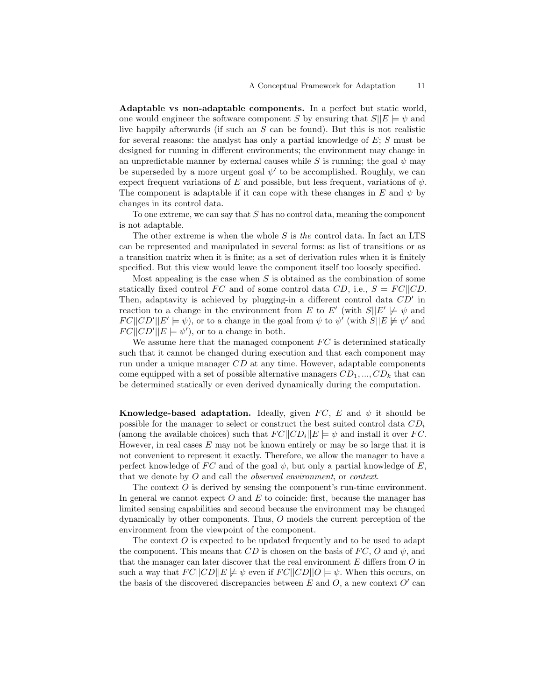Adaptable vs non-adaptable components. In a perfect but static world, one would engineer the software component S by ensuring that  $S||E| \models \psi$  and live happily afterwards (if such an  $S$  can be found). But this is not realistic for several reasons: the analyst has only a partial knowledge of  $E$ ;  $S$  must be designed for running in different environments; the environment may change in an unpredictable manner by external causes while S is running; the goal  $\psi$  may be superseded by a more urgent goal  $\psi'$  to be accomplished. Roughly, we can expect frequent variations of E and possible, but less frequent, variations of  $\psi$ . The component is adaptable if it can cope with these changes in E and  $\psi$  by changes in its control data.

To one extreme, we can say that S has no control data, meaning the component is not adaptable.

The other extreme is when the whole  $S$  is the control data. In fact an LTS can be represented and manipulated in several forms: as list of transitions or as a transition matrix when it is finite; as a set of derivation rules when it is finitely specified. But this view would leave the component itself too loosely specified.

Most appealing is the case when  $S$  is obtained as the combination of some statically fixed control FC and of some control data CD, i.e.,  $S = FC||CD$ . Then, adaptavity is achieved by plugging-in a different control data  $CD'$  in reaction to a change in the environment from E to E' (with  $S||E' \not\models \psi$  and  $FC||CD'||E' \models \psi$ , or to a change in the goal from  $\psi$  to  $\psi'$  (with  $S||E \not\models \psi'$  and  $FC||CD'||E \models \psi'$ , or to a change in both.

We assume here that the managed component  $FC$  is determined statically such that it cannot be changed during execution and that each component may run under a unique manager CD at any time. However, adaptable components come equipped with a set of possible alternative managers  $CD_1, ..., CD_k$  that can be determined statically or even derived dynamically during the computation.

Knowledge-based adaptation. Ideally, given  $FC$ , E and  $\psi$  it should be possible for the manager to select or construct the best suited control data  $CD<sub>i</sub>$ (among the available choices) such that  $FC||CD_i||E \models \psi$  and install it over FC. However, in real cases  $E$  may not be known entirely or may be so large that it is not convenient to represent it exactly. Therefore, we allow the manager to have a perfect knowledge of FC and of the goal  $\psi$ , but only a partial knowledge of E, that we denote by O and call the observed environment, or context.

The context O is derived by sensing the component's run-time environment. In general we cannot expect  $O$  and  $E$  to coincide: first, because the manager has limited sensing capabilities and second because the environment may be changed dynamically by other components. Thus, O models the current perception of the environment from the viewpoint of the component.

The context  $\hat{O}$  is expected to be updated frequently and to be used to adapt the component. This means that  $CD$  is chosen on the basis of  $FC$ , O and  $\psi$ , and that the manager can later discover that the real environment  $E$  differs from  $O$  in such a way that  $FC||CD||E \not\models \psi$  even if  $FC||CD||O \models \psi$ . When this occurs, on the basis of the discovered discrepancies between  $E$  and  $O$ , a new context  $O'$  can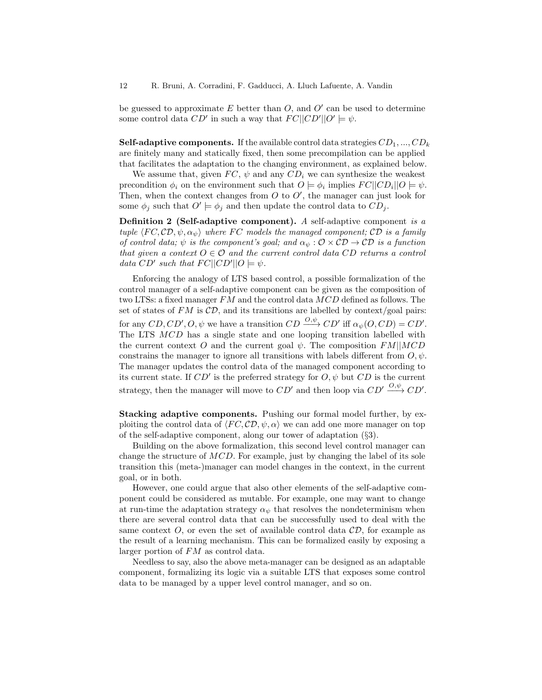be guessed to approximate  $E$  better than  $O$ , and  $O'$  can be used to determine some control data  $CD'$  in such a way that  $FC||CD'||O' \models \psi$ .

**Self-adaptive components.** If the available control data strategies  $CD_1, ..., CD_k$ are finitely many and statically fixed, then some precompilation can be applied that facilitates the adaptation to the changing environment, as explained below.

We assume that, given  $FC$ ,  $\psi$  and any  $CD_i$  we can synthesize the weakest precondition  $\phi_i$  on the environment such that  $O \models \phi_i$  implies  $FC||CD_i||O \models \psi$ . Then, when the context changes from  $O$  to  $O'$ , the manager can just look for some  $\phi_j$  such that  $O' \models \phi_j$  and then update the control data to  $CD_j$ .

Definition 2 (Self-adaptive component). A self-adaptive component is a tuple  $\langle FC, CD, \psi, \alpha_{\psi} \rangle$  where FC models the managed component; CD is a family of control data;  $\psi$  is the component's goal; and  $\alpha_{\psi} : \mathcal{O} \times \mathcal{CD} \to \mathcal{CD}$  is a function that given a context  $O \in \mathcal{O}$  and the current control data CD returns a control data  $CD'$  such that  $FC||CD'||O \models \psi$ .

Enforcing the analogy of LTS based control, a possible formalization of the control manager of a self-adaptive component can be given as the composition of two LTSs: a fixed manager FM and the control data MCD defined as follows. The set of states of  $FM$  is  $CD$ , and its transitions are labelled by context/goal pairs: for any  $CD, CD', O, \psi$  we have a transition  $CD \xrightarrow{O, \psi} CD'$  iff  $\alpha_{\psi}(O, CD) = CD'.$ The LTS MCD has a single state and one looping transition labelled with the current context O and the current goal  $\psi$ . The composition  $FM||MCD$ constrains the manager to ignore all transitions with labels different from  $O, \psi$ . The manager updates the control data of the managed component according to its current state. If  $CD'$  is the preferred strategy for  $O, \psi$  but  $CD$  is the current strategy, then the manager will move to  $CD'$  and then loop via  $CD' \xrightarrow{O,\psi} CD'$ .

Stacking adaptive components. Pushing our formal model further, by exploiting the control data of  $\langle FC, CD, \psi, \alpha \rangle$  we can add one more manager on top of the self-adaptive component, along our tower of adaptation (§3).

Building on the above formalization, this second level control manager can change the structure of  $MCD$ . For example, just by changing the label of its sole transition this (meta-)manager can model changes in the context, in the current goal, or in both.

However, one could argue that also other elements of the self-adaptive component could be considered as mutable. For example, one may want to change at run-time the adaptation strategy  $\alpha_{\psi}$  that resolves the nondeterminism when there are several control data that can be successfully used to deal with the same context  $O$ , or even the set of available control data  $CD$ , for example as the result of a learning mechanism. This can be formalized easily by exposing a larger portion of FM as control data.

Needless to say, also the above meta-manager can be designed as an adaptable component, formalizing its logic via a suitable LTS that exposes some control data to be managed by a upper level control manager, and so on.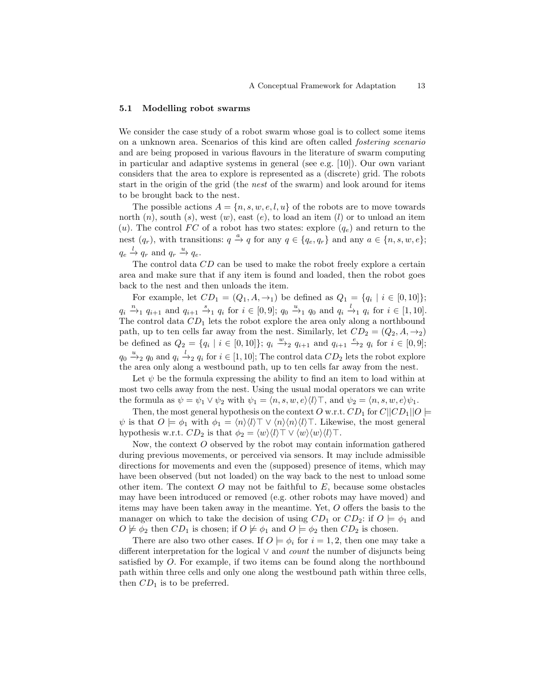#### 5.1 Modelling robot swarms

We consider the case study of a robot swarm whose goal is to collect some items on a unknown area. Scenarios of this kind are often called fostering scenario and are being proposed in various flavours in the literature of swarm computing in particular and adaptive systems in general (see e.g. [10]). Our own variant considers that the area to explore is represented as a (discrete) grid. The robots start in the origin of the grid (the nest of the swarm) and look around for items to be brought back to the nest.

The possible actions  $A = \{n, s, w, e, l, u\}$  of the robots are to move towards north  $(n)$ , south  $(s)$ , west  $(w)$ , east  $(e)$ , to load an item  $(l)$  or to unload an item (u). The control  $FC$  of a robot has two states: explore  $(q_e)$  and return to the nest  $(q_r)$ , with transitions:  $q \stackrel{a}{\rightarrow} q$  for any  $q \in \{q_e, q_r\}$  and any  $a \in \{n, s, w, e\};$  $q_e \stackrel{l}{\rightarrow} q_r$  and  $q_r \stackrel{u}{\rightarrow} q_e$ .

The control data  $CD$  can be used to make the robot freely explore a certain area and make sure that if any item is found and loaded, then the robot goes back to the nest and then unloads the item.

For example, let  $CD_1 = (Q_1, A, \rightarrow_1)$  be defined as  $Q_1 = \{q_i \mid i \in [0, 10]\};$  $q_i \stackrel{n}{\rightarrow}_1 q_{i+1}$  and  $q_{i+1} \stackrel{s}{\rightarrow}_1 q_i$  for  $i \in [0, 9]$ ;  $q_0 \stackrel{u}{\rightarrow}_1 q_0$  and  $q_i \stackrel{l}{\rightarrow}_1 q_i$  for  $i \in [1, 10]$ . The control data  $CD<sub>1</sub>$  lets the robot explore the area only along a northbound path, up to ten cells far away from the nest. Similarly, let  $CD_2 = (Q_2, A, \rightarrow_2)$ be defined as  $Q_2 = \{q_i \mid i \in [0, 10]\}; q_i \stackrel{w}{\longrightarrow}_2 q_{i+1}$  and  $q_{i+1} \stackrel{e}{\longrightarrow}_2 q_i$  for  $i \in [0, 9];$  $q_0 \stackrel{u}{\rightarrow}_2 q_0$  and  $q_i \stackrel{l}{\rightarrow}_2 q_i$  for  $i \in [1, 10]$ ; The control data  $CD_2$  lets the robot explore the area only along a westbound path, up to ten cells far away from the nest.

Let  $\psi$  be the formula expressing the ability to find an item to load within at most two cells away from the nest. Using the usual modal operators we can write the formula as  $\psi = \psi_1 \vee \psi_2$  with  $\psi_1 = \langle n, s, w, e \rangle \langle l \rangle$ , and  $\psi_2 = \langle n, s, w, e \rangle \psi_1$ .

Then, the most general hypothesis on the context O w.r.t.  $CD_1$  for  $C||CD_1||O \models$  $\psi$  is that  $O \models \phi_1$  with  $\phi_1 = \langle n \rangle \langle l \rangle \top \vee \langle n \rangle \langle n \rangle \langle l \rangle \top$ . Likewise, the most general hypothesis w.r.t.  $CD_2$  is that  $\phi_2 = \langle w \rangle \langle l \rangle \top \vee \langle w \rangle \langle w \rangle \langle l \rangle \top$ .

Now, the context O observed by the robot may contain information gathered during previous movements, or perceived via sensors. It may include admissible directions for movements and even the (supposed) presence of items, which may have been observed (but not loaded) on the way back to the nest to unload some other item. The context  $O$  may not be faithful to  $E$ , because some obstacles may have been introduced or removed (e.g. other robots may have moved) and items may have been taken away in the meantime. Yet, O offers the basis to the manager on which to take the decision of using  $CD_1$  or  $CD_2$ : if  $O \models \phi_1$  and  $O \not\models \phi_2$  then  $CD_1$  is chosen; if  $O \not\models \phi_1$  and  $O \models \phi_2$  then  $CD_2$  is chosen.

There are also two other cases. If  $O \models \phi_i$  for  $i = 1, 2$ , then one may take a different interpretation for the logical  $\vee$  and *count* the number of disjuncts being satisfied by O. For example, if two items can be found along the northbound path within three cells and only one along the westbound path within three cells, then  $CD_1$  is to be preferred.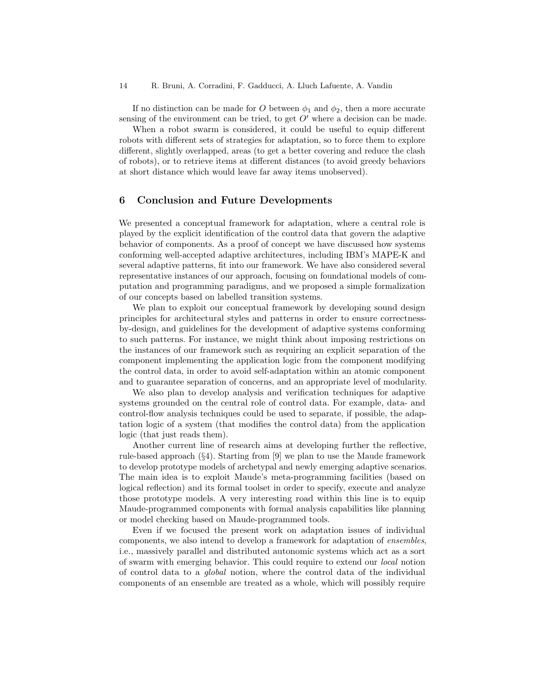If no distinction can be made for O between  $\phi_1$  and  $\phi_2$ , then a more accurate sensing of the environment can be tried, to get  $O'$  where a decision can be made.

When a robot swarm is considered, it could be useful to equip different robots with different sets of strategies for adaptation, so to force them to explore different, slightly overlapped, areas (to get a better covering and reduce the clash of robots), or to retrieve items at different distances (to avoid greedy behaviors at short distance which would leave far away items unobserved).

### 6 Conclusion and Future Developments

We presented a conceptual framework for adaptation, where a central role is played by the explicit identification of the control data that govern the adaptive behavior of components. As a proof of concept we have discussed how systems conforming well-accepted adaptive architectures, including IBM's MAPE-K and several adaptive patterns, fit into our framework. We have also considered several representative instances of our approach, focusing on foundational models of computation and programming paradigms, and we proposed a simple formalization of our concepts based on labelled transition systems.

We plan to exploit our conceptual framework by developing sound design principles for architectural styles and patterns in order to ensure correctnessby-design, and guidelines for the development of adaptive systems conforming to such patterns. For instance, we might think about imposing restrictions on the instances of our framework such as requiring an explicit separation of the component implementing the application logic from the component modifying the control data, in order to avoid self-adaptation within an atomic component and to guarantee separation of concerns, and an appropriate level of modularity.

We also plan to develop analysis and verification techniques for adaptive systems grounded on the central role of control data. For example, data- and control-flow analysis techniques could be used to separate, if possible, the adaptation logic of a system (that modifies the control data) from the application logic (that just reads them).

Another current line of research aims at developing further the reflective, rule-based approach (§4). Starting from [9] we plan to use the Maude framework to develop prototype models of archetypal and newly emerging adaptive scenarios. The main idea is to exploit Maude's meta-programming facilities (based on logical reflection) and its formal toolset in order to specify, execute and analyze those prototype models. A very interesting road within this line is to equip Maude-programmed components with formal analysis capabilities like planning or model checking based on Maude-programmed tools.

Even if we focused the present work on adaptation issues of individual components, we also intend to develop a framework for adaptation of ensembles, i.e., massively parallel and distributed autonomic systems which act as a sort of swarm with emerging behavior. This could require to extend our local notion of control data to a global notion, where the control data of the individual components of an ensemble are treated as a whole, which will possibly require